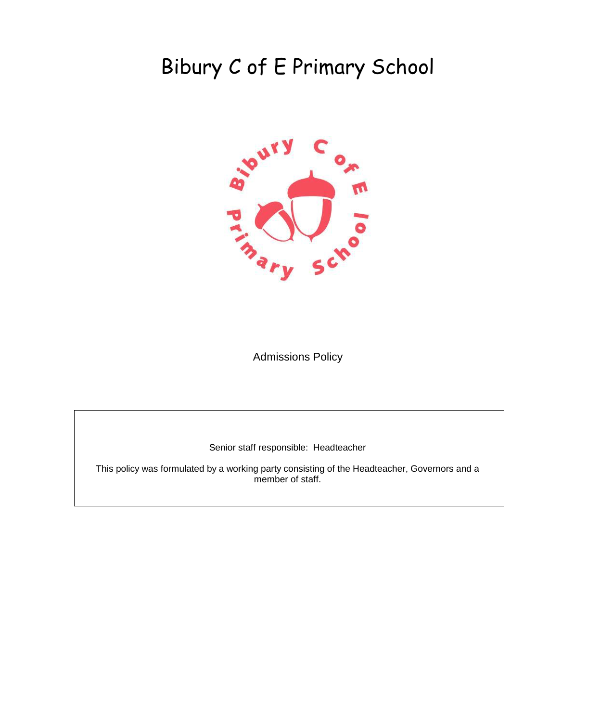# Bibury C of E Primary School



Admissions Policy

Senior staff responsible: Headteacher

This policy was formulated by a working party consisting of the Headteacher, Governors and a member of staff.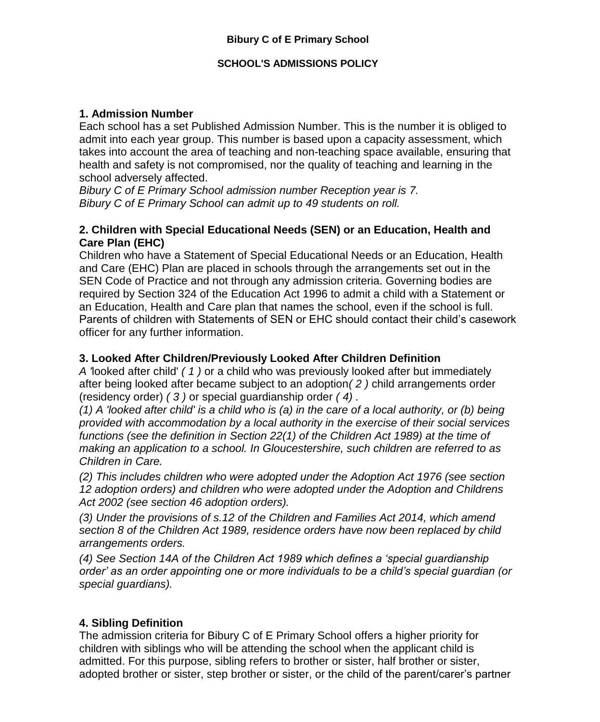### **SCHOOL'S ADMISSIONS POLICY**

# **1. Admission Number**

Each school has a set Published Admission Number. This is the number it is obliged to admit into each year group. This number is based upon a capacity assessment, which takes into account the area of teaching and non-teaching space available, ensuring that health and safety is not compromised, nor the quality of teaching and learning in the school adversely affected.

*Bibury C of E Primary School admission number Reception year is 7. Bibury C of E Primary School can admit up to 49 students on roll.*

#### **2. Children with Special Educational Needs (SEN) or an Education, Health and Care Plan (EHC)**

Children who have a Statement of Special Educational Needs or an Education, Health and Care (EHC) Plan are placed in schools through the arrangements set out in the SEN Code of Practice and not through any admission criteria. Governing bodies are required by Section 324 of the Education Act 1996 to admit a child with a Statement or an Education, Health and Care plan that names the school, even if the school is full. Parents of children with Statements of SEN or EHC should contact their child's casework officer for any further information.

### **3. Looked After Children/Previously Looked After Children Definition**

*A '*looked after child' *( 1 )* or a child who was previously looked after but immediately after being looked after became subject to an adoption*( 2 )* child arrangements order (residency order) *( 3 )* or special guardianship order *( 4) .* 

*(1) A 'looked after child' is a child who is (a) in the care of a local authority, or (b) being provided with accommodation by a local authority in the exercise of their social services functions (see the definition in Section 22(1) of the Children Act 1989) at the time of making an application to a school. In Gloucestershire, such children are referred to as Children in Care.* 

*(2) This includes children who were adopted under the Adoption Act 1976 (see section 12 adoption orders) and children who were adopted under the Adoption and Childrens Act 2002 (see section 46 adoption orders).* 

*(3) Under the provisions of s.12 of the Children and Families Act 2014, which amend section 8 of the Children Act 1989, residence orders have now been replaced by child arrangements orders.* 

*(4) See Section 14A of the Children Act 1989 which defines a 'special guardianship order' as an order appointing one or more individuals to be a child's special guardian (or special guardians).* 

# **4. Sibling Definition**

The admission criteria for Bibury C of E Primary School offers a higher priority for children with siblings who will be attending the school when the applicant child is admitted. For this purpose, sibling refers to brother or sister, half brother or sister, adopted brother or sister, step brother or sister, or the child of the parent/carer's partner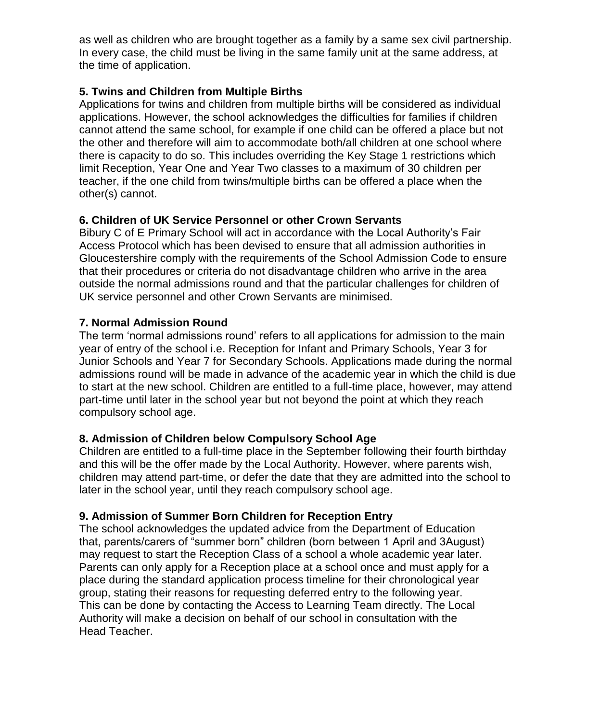as well as children who are brought together as a family by a same sex civil partnership. In every case, the child must be living in the same family unit at the same address, at the time of application.

# **5. Twins and Children from Multiple Births**

Applications for twins and children from multiple births will be considered as individual applications. However, the school acknowledges the difficulties for families if children cannot attend the same school, for example if one child can be offered a place but not the other and therefore will aim to accommodate both/all children at one school where there is capacity to do so. This includes overriding the Key Stage 1 restrictions which limit Reception, Year One and Year Two classes to a maximum of 30 children per teacher, if the one child from twins/multiple births can be offered a place when the other(s) cannot.

#### **6. Children of UK Service Personnel or other Crown Servants**

Bibury C of E Primary School will act in accordance with the Local Authority's Fair Access Protocol which has been devised to ensure that all admission authorities in Gloucestershire comply with the requirements of the School Admission Code to ensure that their procedures or criteria do not disadvantage children who arrive in the area outside the normal admissions round and that the particular challenges for children of UK service personnel and other Crown Servants are minimised.

#### **7. Normal Admission Round**

The term 'normal admissions round' refers to all applications for admission to the main year of entry of the school i.e. Reception for Infant and Primary Schools, Year 3 for Junior Schools and Year 7 for Secondary Schools. Applications made during the normal admissions round will be made in advance of the academic year in which the child is due to start at the new school. Children are entitled to a full-time place, however, may attend part-time until later in the school year but not beyond the point at which they reach compulsory school age.

# **8. Admission of Children below Compulsory School Age**

Children are entitled to a full-time place in the September following their fourth birthday and this will be the offer made by the Local Authority. However, where parents wish, children may attend part-time, or defer the date that they are admitted into the school to later in the school year, until they reach compulsory school age.

# **9. Admission of Summer Born Children for Reception Entry**

The school acknowledges the updated advice from the Department of Education that, parents/carers of "summer born" children (born between 1 April and 3August) may request to start the Reception Class of a school a whole academic year later. Parents can only apply for a Reception place at a school once and must apply for a place during the standard application process timeline for their chronological year group, stating their reasons for requesting deferred entry to the following year. This can be done by contacting the Access to Learning Team directly. The Local Authority will make a decision on behalf of our school in consultation with the Head Teacher.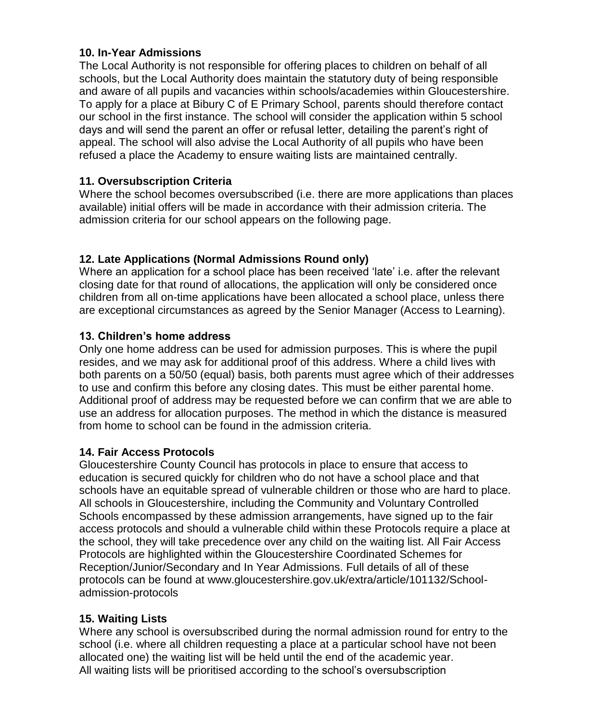### **10. In-Year Admissions**

The Local Authority is not responsible for offering places to children on behalf of all schools, but the Local Authority does maintain the statutory duty of being responsible and aware of all pupils and vacancies within schools/academies within Gloucestershire. To apply for a place at Bibury C of E Primary School, parents should therefore contact our school in the first instance. The school will consider the application within 5 school days and will send the parent an offer or refusal letter, detailing the parent's right of appeal. The school will also advise the Local Authority of all pupils who have been refused a place the Academy to ensure waiting lists are maintained centrally.

# **11. Oversubscription Criteria**

Where the school becomes oversubscribed (i.e. there are more applications than places available) initial offers will be made in accordance with their admission criteria. The admission criteria for our school appears on the following page.

# **12. Late Applications (Normal Admissions Round only)**

Where an application for a school place has been received 'late' i.e. after the relevant closing date for that round of allocations, the application will only be considered once children from all on-time applications have been allocated a school place, unless there are exceptional circumstances as agreed by the Senior Manager (Access to Learning).

# **13. Children's home address**

Only one home address can be used for admission purposes. This is where the pupil resides, and we may ask for additional proof of this address. Where a child lives with both parents on a 50/50 (equal) basis, both parents must agree which of their addresses to use and confirm this before any closing dates. This must be either parental home. Additional proof of address may be requested before we can confirm that we are able to use an address for allocation purposes. The method in which the distance is measured from home to school can be found in the admission criteria.

#### **14. Fair Access Protocols**

Gloucestershire County Council has protocols in place to ensure that access to education is secured quickly for children who do not have a school place and that schools have an equitable spread of vulnerable children or those who are hard to place. All schools in Gloucestershire, including the Community and Voluntary Controlled Schools encompassed by these admission arrangements, have signed up to the fair access protocols and should a vulnerable child within these Protocols require a place at the school, they will take precedence over any child on the waiting list. All Fair Access Protocols are highlighted within the Gloucestershire Coordinated Schemes for Reception/Junior/Secondary and In Year Admissions. Full details of all of these protocols can be found at www.gloucestershire.gov.uk/extra/article/101132/Schooladmission-protocols

# **15. Waiting Lists**

Where any school is oversubscribed during the normal admission round for entry to the school (i.e. where all children requesting a place at a particular school have not been allocated one) the waiting list will be held until the end of the academic year. All waiting lists will be prioritised according to the school's oversubscription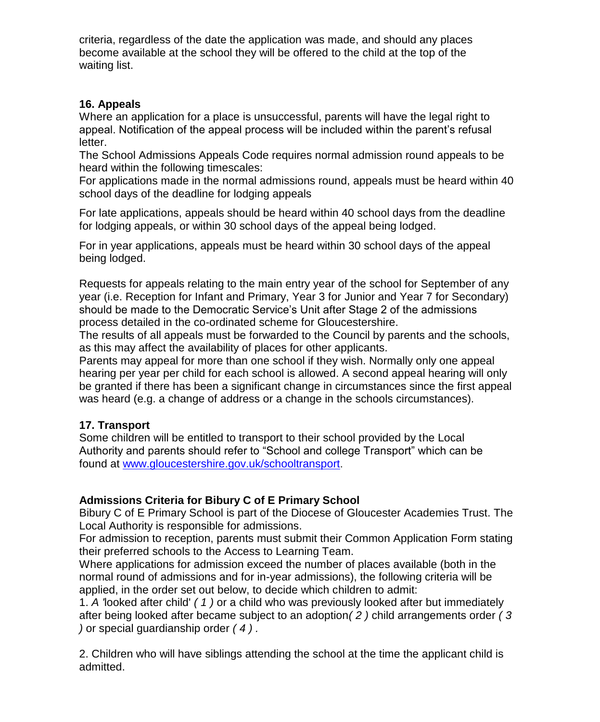criteria, regardless of the date the application was made, and should any places become available at the school they will be offered to the child at the top of the waiting list.

### **16. Appeals**

Where an application for a place is unsuccessful, parents will have the legal right to appeal. Notification of the appeal process will be included within the parent's refusal letter.

The School Admissions Appeals Code requires normal admission round appeals to be heard within the following timescales:

For applications made in the normal admissions round, appeals must be heard within 40 school days of the deadline for lodging appeals

For late applications, appeals should be heard within 40 school days from the deadline for lodging appeals, or within 30 school days of the appeal being lodged.

For in year applications, appeals must be heard within 30 school days of the appeal being lodged.

Requests for appeals relating to the main entry year of the school for September of any year (i.e. Reception for Infant and Primary, Year 3 for Junior and Year 7 for Secondary) should be made to the Democratic Service's Unit after Stage 2 of the admissions process detailed in the co-ordinated scheme for Gloucestershire.

The results of all appeals must be forwarded to the Council by parents and the schools, as this may affect the availability of places for other applicants.

Parents may appeal for more than one school if they wish. Normally only one appeal hearing per year per child for each school is allowed. A second appeal hearing will only be granted if there has been a significant change in circumstances since the first appeal was heard (e.g. a change of address or a change in the schools circumstances).

#### **17. Transport**

Some children will be entitled to transport to their school provided by the Local Authority and parents should refer to "School and college Transport" which can be found at [www.gloucestershire.gov.uk/schooltransport](http://www.gloucestershire.gov.uk/schooltransport).

# **Admissions Criteria for Bibury C of E Primary School**

Bibury C of E Primary School is part of the Diocese of Gloucester Academies Trust. The Local Authority is responsible for admissions.

For admission to reception, parents must submit their Common Application Form stating their preferred schools to the Access to Learning Team.

Where applications for admission exceed the number of places available (both in the normal round of admissions and for in-year admissions), the following criteria will be applied, in the order set out below, to decide which children to admit:

1. *A '*looked after child' *( 1 )* or a child who was previously looked after but immediately after being looked after became subject to an adoption*( 2 )* child arrangements order *( 3 )* or special guardianship order *( 4 ) .* 

2. Children who will have siblings attending the school at the time the applicant child is admitted.